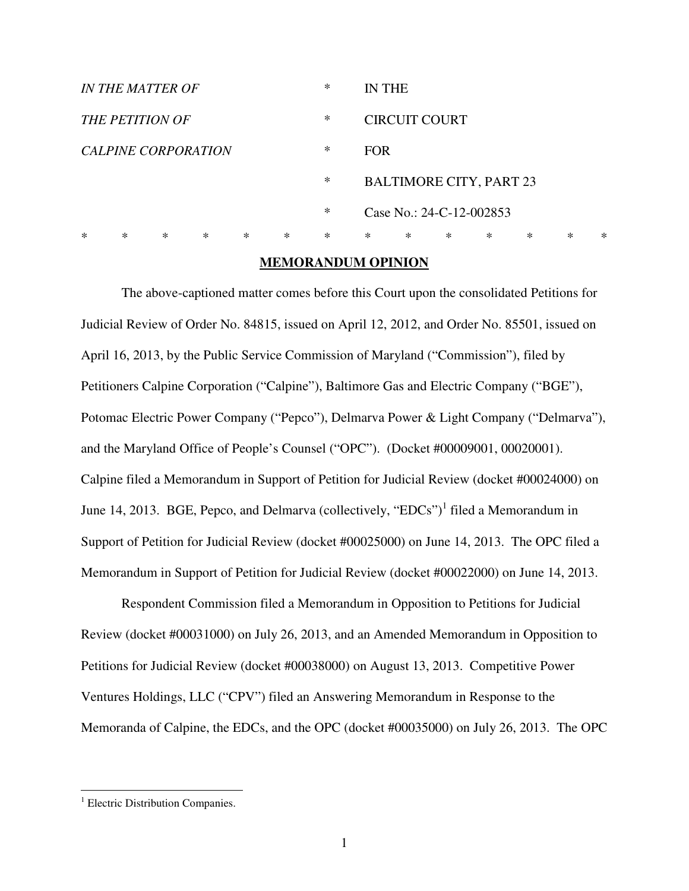| <b>IN THE MATTER OF</b> |        |   |   |        |        |        | IN THE                   |        |   |                                |        |        |   |
|-------------------------|--------|---|---|--------|--------|--------|--------------------------|--------|---|--------------------------------|--------|--------|---|
| <b>THE PETITION OF</b>  |        |   |   |        |        |        | <b>CIRCUIT COURT</b>     |        |   |                                |        |        |   |
| CALPINE CORPORATION     |        |   |   |        |        |        | <b>FOR</b>               |        |   |                                |        |        |   |
|                         |        |   |   |        |        | ∗      |                          |        |   | <b>BALTIMORE CITY, PART 23</b> |        |        |   |
|                         |        |   |   |        |        |        | Case No.: 24-C-12-002853 |        |   |                                |        |        |   |
| $\ast$                  | $\ast$ | ∗ | ∗ | $\ast$ | $\ast$ | $\ast$ | $\ast$                   | $\ast$ | ∗ | ∗                              | $\ast$ | $\ast$ | ∗ |

#### **MEMORANDUM OPINION**

The above-captioned matter comes before this Court upon the consolidated Petitions for Judicial Review of Order No. 84815, issued on April 12, 2012, and Order No. 85501, issued on April 16, 2013, by the Public Service Commission of Maryland ("Commission"), filed by Petitioners Calpine Corporation ("Calpine"), Baltimore Gas and Electric Company ("BGE"), Potomac Electric Power Company ("Pepco"), Delmarva Power & Light Company ("Delmarva"), and the Maryland Office of People's Counsel ("OPC"). (Docket #00009001, 00020001). Calpine filed a Memorandum in Support of Petition for Judicial Review (docket #00024000) on June 14, 2013. BGE, Pepco, and Delmarva (collectively, "EDCs")<sup>1</sup> filed a Memorandum in Support of Petition for Judicial Review (docket #00025000) on June 14, 2013. The OPC filed a Memorandum in Support of Petition for Judicial Review (docket #00022000) on June 14, 2013.

Respondent Commission filed a Memorandum in Opposition to Petitions for Judicial Review (docket #00031000) on July 26, 2013, and an Amended Memorandum in Opposition to Petitions for Judicial Review (docket #00038000) on August 13, 2013. Competitive Power Ventures Holdings, LLC ("CPV") filed an Answering Memorandum in Response to the Memoranda of Calpine, the EDCs, and the OPC (docket #00035000) on July 26, 2013. The OPC

 $\overline{a}$ 

<sup>&</sup>lt;sup>1</sup> Electric Distribution Companies.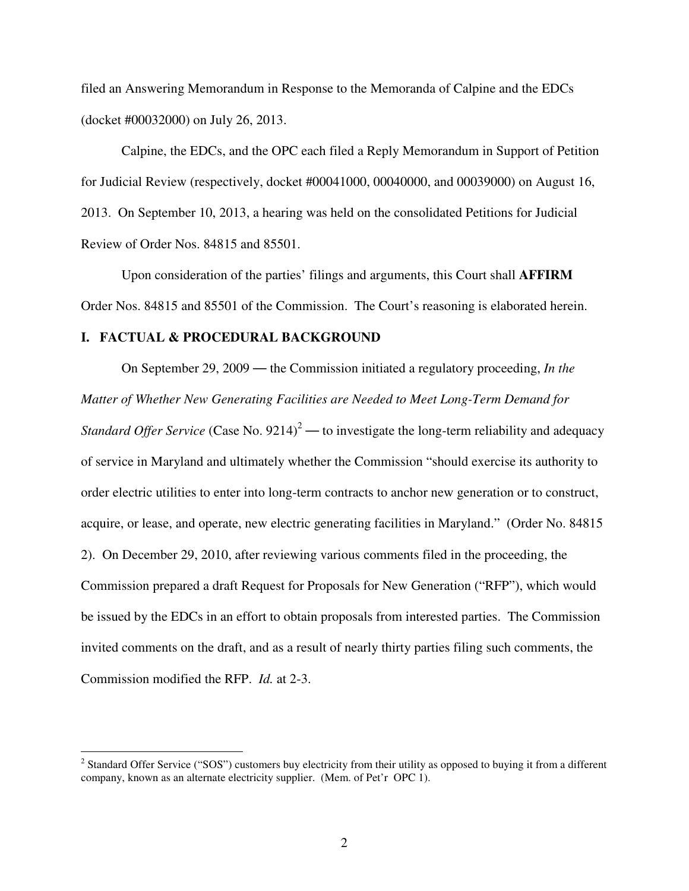filed an Answering Memorandum in Response to the Memoranda of Calpine and the EDCs (docket #00032000) on July 26, 2013.

Calpine, the EDCs, and the OPC each filed a Reply Memorandum in Support of Petition for Judicial Review (respectively, docket #00041000, 00040000, and 00039000) on August 16, 2013. On September 10, 2013, a hearing was held on the consolidated Petitions for Judicial Review of Order Nos. 84815 and 85501.

Upon consideration of the parties' filings and arguments, this Court shall **AFFIRM**  Order Nos. 84815 and 85501 of the Commission. The Court's reasoning is elaborated herein.

### **I. FACTUAL & PROCEDURAL BACKGROUND**

 $\overline{a}$ 

On September 29, 2009 — the Commission initiated a regulatory proceeding, *In the Matter of Whether New Generating Facilities are Needed to Meet Long-Term Demand for Standard Offer Service* (Case No.  $9214$ )<sup>2</sup> — to investigate the long-term reliability and adequacy of service in Maryland and ultimately whether the Commission "should exercise its authority to order electric utilities to enter into long-term contracts to anchor new generation or to construct, acquire, or lease, and operate, new electric generating facilities in Maryland." (Order No. 84815 2). On December 29, 2010, after reviewing various comments filed in the proceeding, the Commission prepared a draft Request for Proposals for New Generation ("RFP"), which would be issued by the EDCs in an effort to obtain proposals from interested parties. The Commission invited comments on the draft, and as a result of nearly thirty parties filing such comments, the Commission modified the RFP. *Id.* at 2-3.

 $2$  Standard Offer Service ("SOS") customers buy electricity from their utility as opposed to buying it from a different company, known as an alternate electricity supplier. (Mem. of Pet'r OPC 1).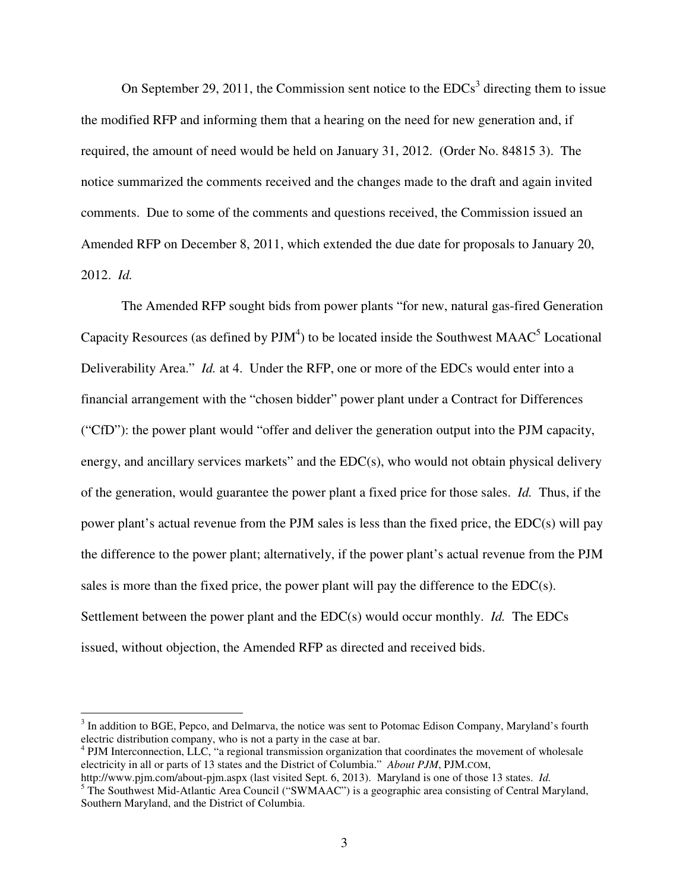On September 29, 2011, the Commission sent notice to the  $EDCs<sup>3</sup>$  directing them to issue the modified RFP and informing them that a hearing on the need for new generation and, if required, the amount of need would be held on January 31, 2012. (Order No. 84815 3). The notice summarized the comments received and the changes made to the draft and again invited comments. Due to some of the comments and questions received, the Commission issued an Amended RFP on December 8, 2011, which extended the due date for proposals to January 20, 2012. *Id.*

The Amended RFP sought bids from power plants "for new, natural gas-fired Generation Capacity Resources (as defined by  $PJM^4$ ) to be located inside the Southwest MAAC<sup>5</sup> Locational Deliverability Area." *Id.* at 4. Under the RFP, one or more of the EDCs would enter into a financial arrangement with the "chosen bidder" power plant under a Contract for Differences ("CfD"): the power plant would "offer and deliver the generation output into the PJM capacity, energy, and ancillary services markets" and the EDC(s), who would not obtain physical delivery of the generation, would guarantee the power plant a fixed price for those sales. *Id.* Thus, if the power plant's actual revenue from the PJM sales is less than the fixed price, the EDC(s) will pay the difference to the power plant; alternatively, if the power plant's actual revenue from the PJM sales is more than the fixed price, the power plant will pay the difference to the  $EDC(s)$ . Settlement between the power plant and the EDC(s) would occur monthly. *Id.* The EDCs issued, without objection, the Amended RFP as directed and received bids.

l

<sup>&</sup>lt;sup>3</sup> In addition to BGE, Pepco, and Delmarva, the notice was sent to Potomac Edison Company, Maryland's fourth electric distribution company, who is not a party in the case at bar.

<sup>&</sup>lt;sup>4</sup> PJM Interconnection, LLC, "a regional transmission organization that coordinates the movement of wholesale electricity in all or parts of 13 states and the District of Columbia." *About PJM*, PJM.COM,

http://www.pjm.com/about-pjm.aspx (last visited Sept. 6, 2013). Maryland is one of those 13 states. *Id.*  <sup>5</sup> The Southwest Mid-Atlantic Area Council ("SWMAAC") is a geographic area consisting of Central Maryland, Southern Maryland, and the District of Columbia.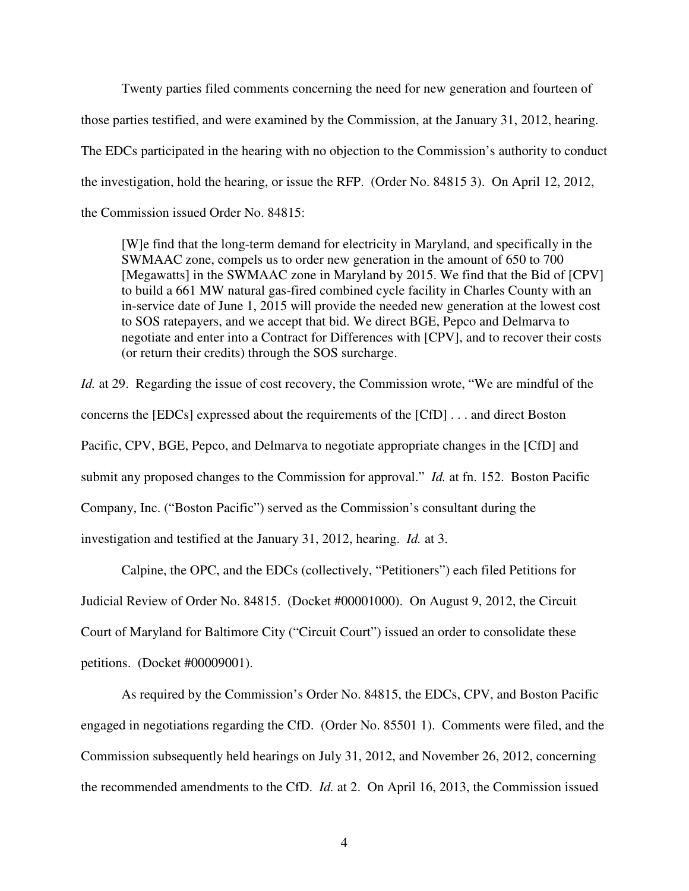Twenty parties filed comments concerning the need for new generation and fourteen of those parties testified, and were examined by the Commission, at the January 31, 2012, hearing. The EDCs participated in the hearing with no objection to the Commission's authority to conduct the investigation, hold the hearing, or issue the RFP. (Order No. 84815 3). On April 12, 2012, the Commission issued Order No. 84815:

[W]e find that the long-term demand for electricity in Maryland, and specifically in the SWMAAC zone, compels us to order new generation in the amount of 650 to 700 [Megawatts] in the SWMAAC zone in Maryland by 2015. We find that the Bid of [CPV] to build a 661 MW natural gas-fired combined cycle facility in Charles County with an in-service date of June 1, 2015 will provide the needed new generation at the lowest cost to SOS ratepayers, and we accept that bid. We direct BGE, Pepco and Delmarva to negotiate and enter into a Contract for Differences with [CPV], and to recover their costs (or return their credits) through the SOS surcharge.

*Id.* at 29. Regarding the issue of cost recovery, the Commission wrote, "We are mindful of the concerns the [EDCs] expressed about the requirements of the [CfD] . . . and direct Boston Pacific, CPV, BGE, Pepco, and Delmarva to negotiate appropriate changes in the [CfD] and submit any proposed changes to the Commission for approval." *Id.* at fn. 152. Boston Pacific Company, Inc. ("Boston Pacific") served as the Commission's consultant during the investigation and testified at the January 31, 2012, hearing. *Id.* at 3.

 Calpine, the OPC, and the EDCs (collectively, "Petitioners") each filed Petitions for Judicial Review of Order No. 84815. (Docket #00001000). On August 9, 2012, the Circuit Court of Maryland for Baltimore City ("Circuit Court") issued an order to consolidate these petitions. (Docket #00009001).

As required by the Commission's Order No. 84815, the EDCs, CPV, and Boston Pacific engaged in negotiations regarding the CfD. (Order No. 85501 1). Comments were filed, and the Commission subsequently held hearings on July 31, 2012, and November 26, 2012, concerning the recommended amendments to the CfD. *Id.* at 2. On April 16, 2013, the Commission issued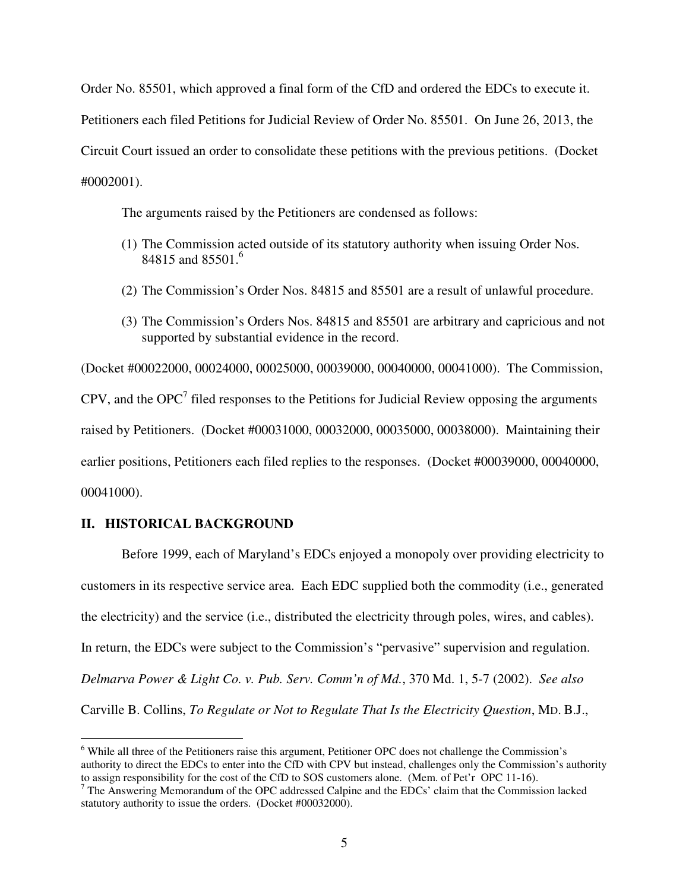Order No. 85501, which approved a final form of the CfD and ordered the EDCs to execute it. Petitioners each filed Petitions for Judicial Review of Order No. 85501. On June 26, 2013, the Circuit Court issued an order to consolidate these petitions with the previous petitions. (Docket #0002001).

The arguments raised by the Petitioners are condensed as follows:

- (1) The Commission acted outside of its statutory authority when issuing Order Nos. 84815 and 85501.<sup>6</sup>
- (2) The Commission's Order Nos. 84815 and 85501 are a result of unlawful procedure.
- (3) The Commission's Orders Nos. 84815 and 85501 are arbitrary and capricious and not supported by substantial evidence in the record.

(Docket #00022000, 00024000, 00025000, 00039000, 00040000, 00041000). The Commission, CPV, and the OPC<sup>7</sup> filed responses to the Petitions for Judicial Review opposing the arguments raised by Petitioners. (Docket #00031000, 00032000, 00035000, 00038000). Maintaining their earlier positions, Petitioners each filed replies to the responses. (Docket #00039000, 00040000, 00041000).

### **II. HISTORICAL BACKGROUND**

 $\overline{a}$ 

Before 1999, each of Maryland's EDCs enjoyed a monopoly over providing electricity to customers in its respective service area. Each EDC supplied both the commodity (i.e., generated the electricity) and the service (i.e., distributed the electricity through poles, wires, and cables). In return, the EDCs were subject to the Commission's "pervasive" supervision and regulation. *Delmarva Power & Light Co. v. Pub. Serv. Comm'n of Md.*, 370 Md. 1, 5-7 (2002). *See also* Carville B. Collins, *To Regulate or Not to Regulate That Is the Electricity Question*, MD. B.J.,

<sup>&</sup>lt;sup>6</sup> While all three of the Petitioners raise this argument, Petitioner OPC does not challenge the Commission's authority to direct the EDCs to enter into the CfD with CPV but instead, challenges only the Commission's authority to assign responsibility for the cost of the CfD to SOS customers alone. (Mem. of Pet'r OPC 11-16).<br><sup>7</sup> The Answering Memorandum of the OPC addressed Calpine and the EDCs' claim that the Commission lacked

statutory authority to issue the orders. (Docket #00032000).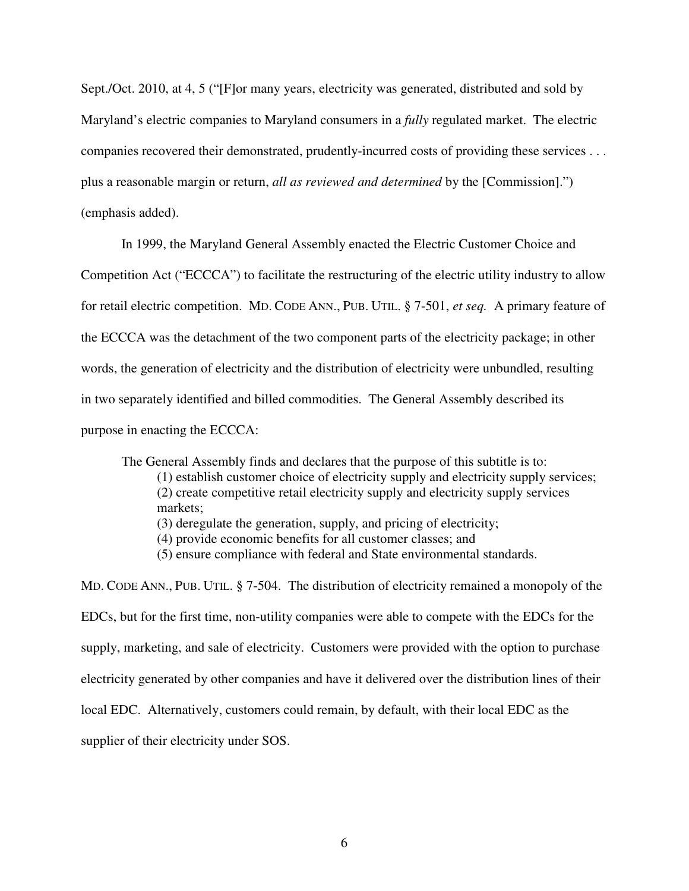Sept./Oct. 2010, at 4, 5 ("[F]or many years, electricity was generated, distributed and sold by Maryland's electric companies to Maryland consumers in a *fully* regulated market. The electric companies recovered their demonstrated, prudently-incurred costs of providing these services . . . plus a reasonable margin or return, *all as reviewed and determined* by the [Commission].") (emphasis added).

In 1999, the Maryland General Assembly enacted the Electric Customer Choice and

Competition Act ("ECCCA") to facilitate the restructuring of the electric utility industry to allow

for retail electric competition. MD. CODE ANN., PUB. UTIL. § 7-501, *et seq.* A primary feature of

the ECCCA was the detachment of the two component parts of the electricity package; in other

words, the generation of electricity and the distribution of electricity were unbundled, resulting

in two separately identified and billed commodities. The General Assembly described its

purpose in enacting the ECCCA:

The General Assembly finds and declares that the purpose of this subtitle is to: (1) establish customer choice of electricity supply and electricity supply services; (2) create competitive retail electricity supply and electricity supply services markets;

(3) deregulate the generation, supply, and pricing of electricity;

- (4) provide economic benefits for all customer classes; and
- (5) ensure compliance with federal and State environmental standards.

MD. CODE ANN., PUB. UTIL. § 7-504. The distribution of electricity remained a monopoly of the EDCs, but for the first time, non-utility companies were able to compete with the EDCs for the supply, marketing, and sale of electricity. Customers were provided with the option to purchase electricity generated by other companies and have it delivered over the distribution lines of their local EDC. Alternatively, customers could remain, by default, with their local EDC as the supplier of their electricity under SOS.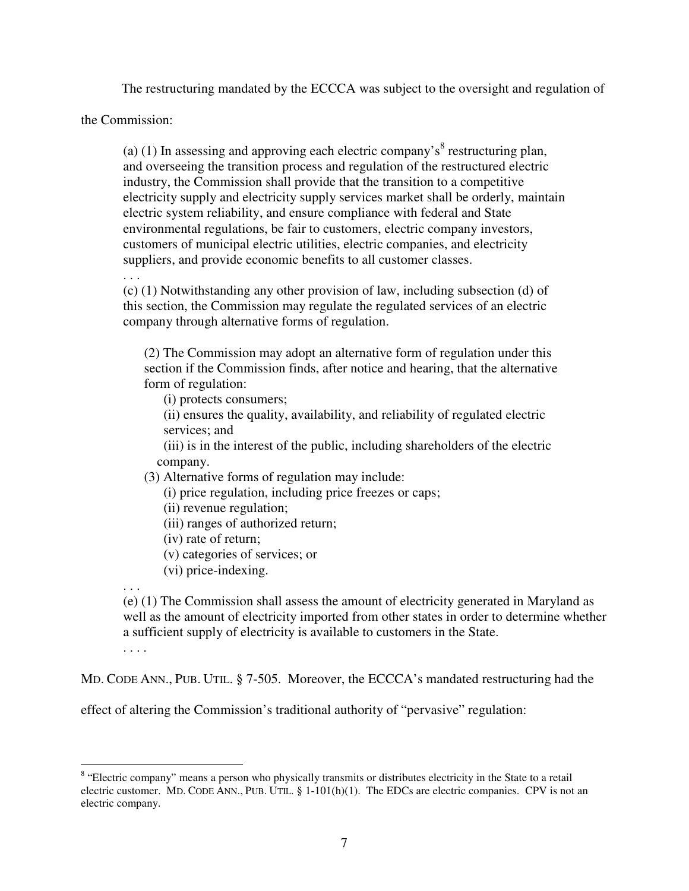The restructuring mandated by the ECCCA was subject to the oversight and regulation of

the Commission:

(a) (1) In assessing and approving each electric company's<sup>8</sup> restructuring plan, and overseeing the transition process and regulation of the restructured electric industry, the Commission shall provide that the transition to a competitive electricity supply and electricity supply services market shall be orderly, maintain electric system reliability, and ensure compliance with federal and State environmental regulations, be fair to customers, electric company investors, customers of municipal electric utilities, electric companies, and electricity suppliers, and provide economic benefits to all customer classes.

. . .

(c) (1) Notwithstanding any other provision of law, including subsection (d) of this section, the Commission may regulate the regulated services of an electric company through alternative forms of regulation.

(2) The Commission may adopt an alternative form of regulation under this section if the Commission finds, after notice and hearing, that the alternative form of regulation:

(i) protects consumers;

(ii) ensures the quality, availability, and reliability of regulated electric services; and

(iii) is in the interest of the public, including shareholders of the electric company.

(3) Alternative forms of regulation may include:

(i) price regulation, including price freezes or caps;

(ii) revenue regulation;

(iii) ranges of authorized return;

(iv) rate of return;

(v) categories of services; or

(vi) price-indexing.

. . . (e) (1) The Commission shall assess the amount of electricity generated in Maryland as well as the amount of electricity imported from other states in order to determine whether a sufficient supply of electricity is available to customers in the State.

. . . .

MD. CODE ANN., PUB. UTIL. § 7-505. Moreover, the ECCCA's mandated restructuring had the

effect of altering the Commission's traditional authority of "pervasive" regulation:

<sup>&</sup>lt;sup>8</sup> "Electric company" means a person who physically transmits or distributes electricity in the State to a retail electric customer. MD. CODE ANN., PUB. UTIL. § 1-101(h)(1). The EDCs are electric companies. CPV is not an electric company.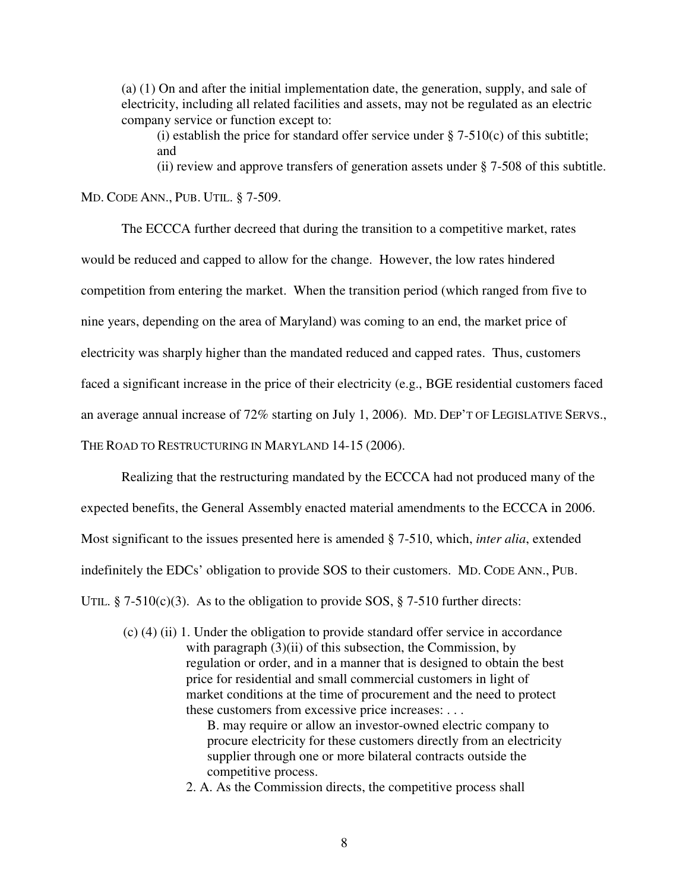(a) (1) On and after the initial implementation date, the generation, supply, and sale of electricity, including all related facilities and assets, may not be regulated as an electric company service or function except to:

(i) establish the price for standard offer service under  $\S$  7-510(c) of this subtitle; and

(ii) review and approve transfers of generation assets under § 7-508 of this subtitle.

MD. CODE ANN., PUB. UTIL. § 7-509.

The ECCCA further decreed that during the transition to a competitive market, rates would be reduced and capped to allow for the change. However, the low rates hindered competition from entering the market. When the transition period (which ranged from five to nine years, depending on the area of Maryland) was coming to an end, the market price of electricity was sharply higher than the mandated reduced and capped rates. Thus, customers faced a significant increase in the price of their electricity (e.g., BGE residential customers faced an average annual increase of 72% starting on July 1, 2006). MD. DEP'T OF LEGISLATIVE SERVS., THE ROAD TO RESTRUCTURING IN MARYLAND 14-15 (2006).

Realizing that the restructuring mandated by the ECCCA had not produced many of the expected benefits, the General Assembly enacted material amendments to the ECCCA in 2006. Most significant to the issues presented here is amended § 7-510, which, *inter alia*, extended indefinitely the EDCs' obligation to provide SOS to their customers. MD. CODE ANN., PUB. UTIL. § 7-510(c)(3). As to the obligation to provide SOS, § 7-510 further directs:

(c) (4) (ii) 1. Under the obligation to provide standard offer service in accordance with paragraph (3)(ii) of this subsection, the Commission, by regulation or order, and in a manner that is designed to obtain the best price for residential and small commercial customers in light of market conditions at the time of procurement and the need to protect these customers from excessive price increases: . . .

> B. may require or allow an investor-owned electric company to procure electricity for these customers directly from an electricity supplier through one or more bilateral contracts outside the competitive process.

2. A. As the Commission directs, the competitive process shall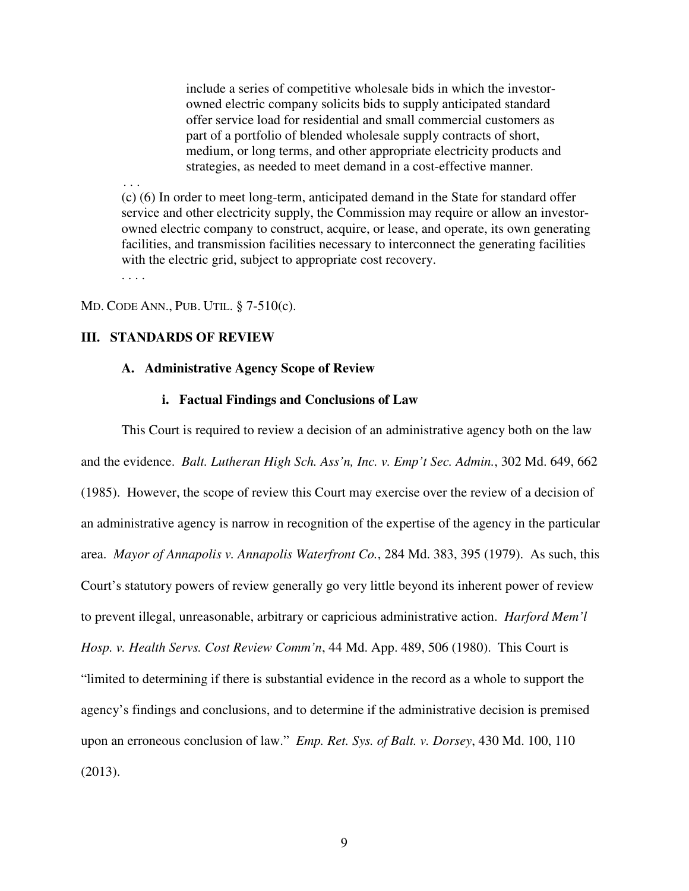include a series of competitive wholesale bids in which the investorowned electric company solicits bids to supply anticipated standard offer service load for residential and small commercial customers as part of a portfolio of blended wholesale supply contracts of short, medium, or long terms, and other appropriate electricity products and strategies, as needed to meet demand in a cost-effective manner.

(c) (6) In order to meet long-term, anticipated demand in the State for standard offer service and other electricity supply, the Commission may require or allow an investorowned electric company to construct, acquire, or lease, and operate, its own generating facilities, and transmission facilities necessary to interconnect the generating facilities with the electric grid, subject to appropriate cost recovery.

. . . .

. . .

MD. CODE ANN., PUB. UTIL. § 7-510(c).

# **III. STANDARDS OF REVIEW**

## **A. Administrative Agency Scope of Review**

#### **i. Factual Findings and Conclusions of Law**

This Court is required to review a decision of an administrative agency both on the law and the evidence. *Balt. Lutheran High Sch. Ass'n, Inc. v. Emp't Sec. Admin.*, 302 Md. 649, 662 (1985). However, the scope of review this Court may exercise over the review of a decision of an administrative agency is narrow in recognition of the expertise of the agency in the particular area. *Mayor of Annapolis v. Annapolis Waterfront Co.*, 284 Md. 383, 395 (1979). As such, this Court's statutory powers of review generally go very little beyond its inherent power of review to prevent illegal, unreasonable, arbitrary or capricious administrative action. *Harford Mem'l Hosp. v. Health Servs. Cost Review Comm'n*, 44 Md. App. 489, 506 (1980). This Court is "limited to determining if there is substantial evidence in the record as a whole to support the agency's findings and conclusions, and to determine if the administrative decision is premised upon an erroneous conclusion of law." *Emp. Ret. Sys. of Balt. v. Dorsey*, 430 Md. 100, 110 (2013).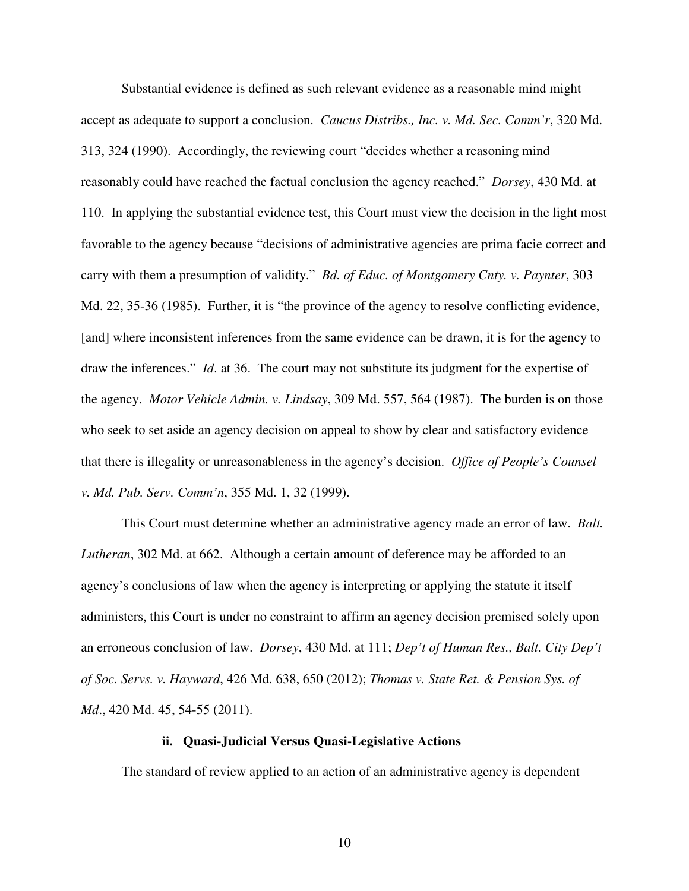Substantial evidence is defined as such relevant evidence as a reasonable mind might accept as adequate to support a conclusion. *Caucus Distribs., Inc. v. Md. Sec. Comm'r*, 320 Md. 313, 324 (1990). Accordingly, the reviewing court "decides whether a reasoning mind reasonably could have reached the factual conclusion the agency reached." *Dorsey*, 430 Md. at 110. In applying the substantial evidence test, this Court must view the decision in the light most favorable to the agency because "decisions of administrative agencies are prima facie correct and carry with them a presumption of validity." *Bd. of Educ. of Montgomery Cnty. v. Paynter*, 303 Md. 22, 35-36 (1985). Further, it is "the province of the agency to resolve conflicting evidence, [and] where inconsistent inferences from the same evidence can be drawn, it is for the agency to draw the inferences." *Id*. at 36. The court may not substitute its judgment for the expertise of the agency. *Motor Vehicle Admin. v. Lindsay*, 309 Md. 557, 564 (1987). The burden is on those who seek to set aside an agency decision on appeal to show by clear and satisfactory evidence that there is illegality or unreasonableness in the agency's decision. *Office of People's Counsel v. Md. Pub. Serv. Comm'n*, 355 Md. 1, 32 (1999).

This Court must determine whether an administrative agency made an error of law. *Balt. Lutheran*, 302 Md. at 662. Although a certain amount of deference may be afforded to an agency's conclusions of law when the agency is interpreting or applying the statute it itself administers, this Court is under no constraint to affirm an agency decision premised solely upon an erroneous conclusion of law. *Dorsey*, 430 Md. at 111; *Dep't of Human Res., Balt. City Dep't of Soc. Servs. v. Hayward*, 426 Md. 638, 650 (2012); *Thomas v. State Ret. & Pension Sys. of Md*., 420 Md. 45, 54-55 (2011).

### **ii. Quasi-Judicial Versus Quasi-Legislative Actions**

The standard of review applied to an action of an administrative agency is dependent

10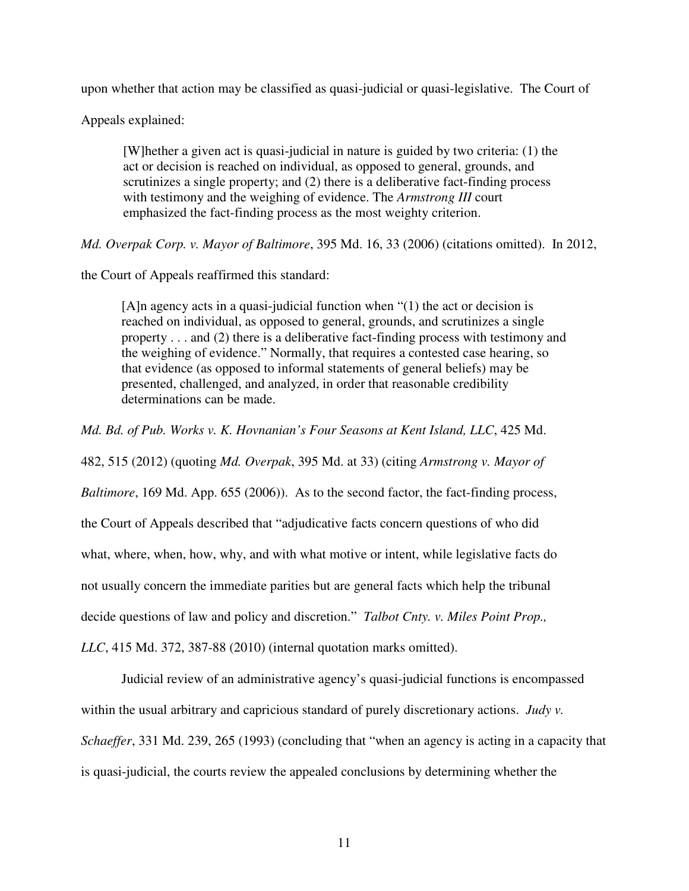upon whether that action may be classified as quasi-judicial or quasi-legislative. The Court of

Appeals explained:

[W]hether a given act is quasi-judicial in nature is guided by two criteria: (1) the act or decision is reached on individual, as opposed to general, grounds, and scrutinizes a single property; and (2) there is a deliberative fact-finding process with testimony and the weighing of evidence. The *Armstrong III* court emphasized the fact-finding process as the most weighty criterion.

*Md. Overpak Corp. v. Mayor of Baltimore*, 395 Md. 16, 33 (2006) (citations omitted). In 2012,

the Court of Appeals reaffirmed this standard:

[A]n agency acts in a quasi-judicial function when "(1) the act or decision is reached on individual, as opposed to general, grounds, and scrutinizes a single property . . . and (2) there is a deliberative fact-finding process with testimony and the weighing of evidence." Normally, that requires a contested case hearing, so that evidence (as opposed to informal statements of general beliefs) may be presented, challenged, and analyzed, in order that reasonable credibility determinations can be made.

*Md. Bd. of Pub. Works v. K. Hovnanian's Four Seasons at Kent Island, LLC*, 425 Md.

482, 515 (2012) (quoting *Md. Overpak*, 395 Md. at 33) (citing *Armstrong v. Mayor of* 

*Baltimore*, 169 Md. App. 655 (2006)). As to the second factor, the fact-finding process,

the Court of Appeals described that "adjudicative facts concern questions of who did

what, where, when, how, why, and with what motive or intent, while legislative facts do

not usually concern the immediate parities but are general facts which help the tribunal

decide questions of law and policy and discretion." *Talbot Cnty. v. Miles Point Prop.,* 

*LLC*, 415 Md. 372, 387-88 (2010) (internal quotation marks omitted).

Judicial review of an administrative agency's quasi-judicial functions is encompassed within the usual arbitrary and capricious standard of purely discretionary actions. *Judy v. Schaeffer*, 331 Md. 239, 265 (1993) (concluding that "when an agency is acting in a capacity that is quasi-judicial, the courts review the appealed conclusions by determining whether the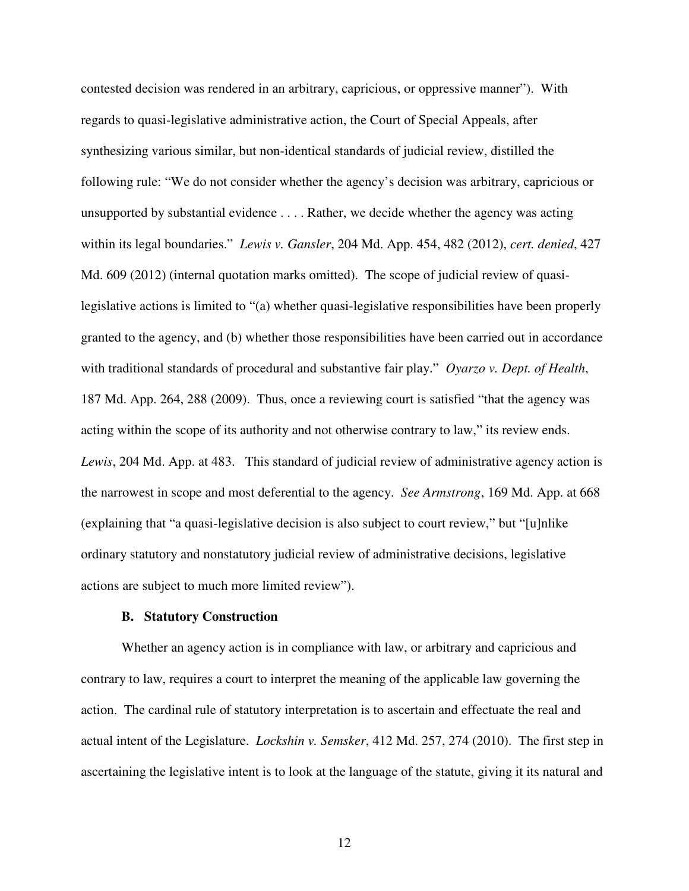contested decision was rendered in an arbitrary, capricious, or oppressive manner"). With regards to quasi-legislative administrative action, the Court of Special Appeals, after synthesizing various similar, but non-identical standards of judicial review, distilled the following rule: "We do not consider whether the agency's decision was arbitrary, capricious or unsupported by substantial evidence . . . . Rather, we decide whether the agency was acting within its legal boundaries." *Lewis v. Gansler*, 204 Md. App. 454, 482 (2012), *cert. denied*, 427 Md. 609 (2012) (internal quotation marks omitted). The scope of judicial review of quasilegislative actions is limited to "(a) whether quasi-legislative responsibilities have been properly granted to the agency, and (b) whether those responsibilities have been carried out in accordance with traditional standards of procedural and substantive fair play." *Oyarzo v. Dept. of Health*, 187 Md. App. 264, 288 (2009). Thus, once a reviewing court is satisfied "that the agency was acting within the scope of its authority and not otherwise contrary to law," its review ends. *Lewis*, 204 Md. App. at 483. This standard of judicial review of administrative agency action is the narrowest in scope and most deferential to the agency. *See Armstrong*, 169 Md. App. at 668 (explaining that "a quasi-legislative decision is also subject to court review," but "[u]nlike ordinary statutory and nonstatutory judicial review of administrative decisions, legislative actions are subject to much more limited review").

### **B. Statutory Construction**

Whether an agency action is in compliance with law, or arbitrary and capricious and contrary to law, requires a court to interpret the meaning of the applicable law governing the action. The cardinal rule of statutory interpretation is to ascertain and effectuate the real and actual intent of the Legislature. *Lockshin v. Semsker*, 412 Md. 257, 274 (2010). The first step in ascertaining the legislative intent is to look at the language of the statute, giving it its natural and

12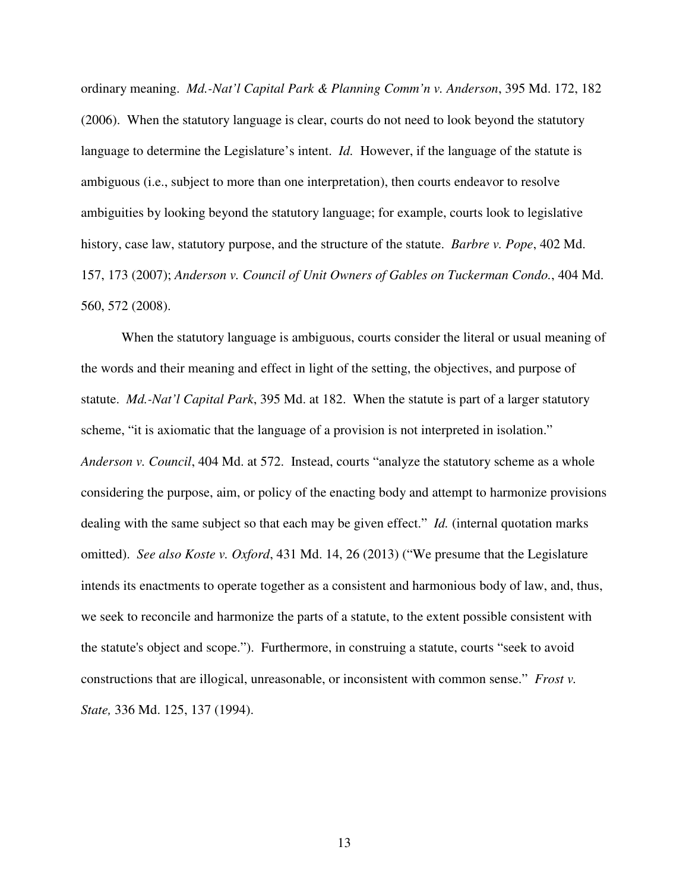ordinary meaning. *Md.-Nat'l Capital Park & Planning Comm'n v. Anderson*, 395 Md. 172, 182 (2006). When the statutory language is clear, courts do not need to look beyond the statutory language to determine the Legislature's intent. *Id.* However, if the language of the statute is ambiguous (i.e., subject to more than one interpretation), then courts endeavor to resolve ambiguities by looking beyond the statutory language; for example, courts look to legislative history, case law, statutory purpose, and the structure of the statute. *Barbre v. Pope*, 402 Md. 157, 173 (2007); *Anderson v. Council of Unit Owners of Gables on Tuckerman Condo.*, 404 Md. 560, 572 (2008).

When the statutory language is ambiguous, courts consider the literal or usual meaning of the words and their meaning and effect in light of the setting, the objectives, and purpose of statute. *Md.-Nat'l Capital Park*, 395 Md. at 182. When the statute is part of a larger statutory scheme, "it is axiomatic that the language of a provision is not interpreted in isolation." *Anderson v. Council*, 404 Md. at 572. Instead, courts "analyze the statutory scheme as a whole considering the purpose, aim, or policy of the enacting body and attempt to harmonize provisions dealing with the same subject so that each may be given effect." *Id.* (internal quotation marks omitted). *See also Koste v. Oxford*, 431 Md. 14, 26 (2013) ("We presume that the Legislature intends its enactments to operate together as a consistent and harmonious body of law, and, thus, we seek to reconcile and harmonize the parts of a statute, to the extent possible consistent with the statute's object and scope."). Furthermore, in construing a statute, courts "seek to avoid constructions that are illogical, unreasonable, or inconsistent with common sense." *Frost v. State,* 336 Md. 125, 137 (1994).

13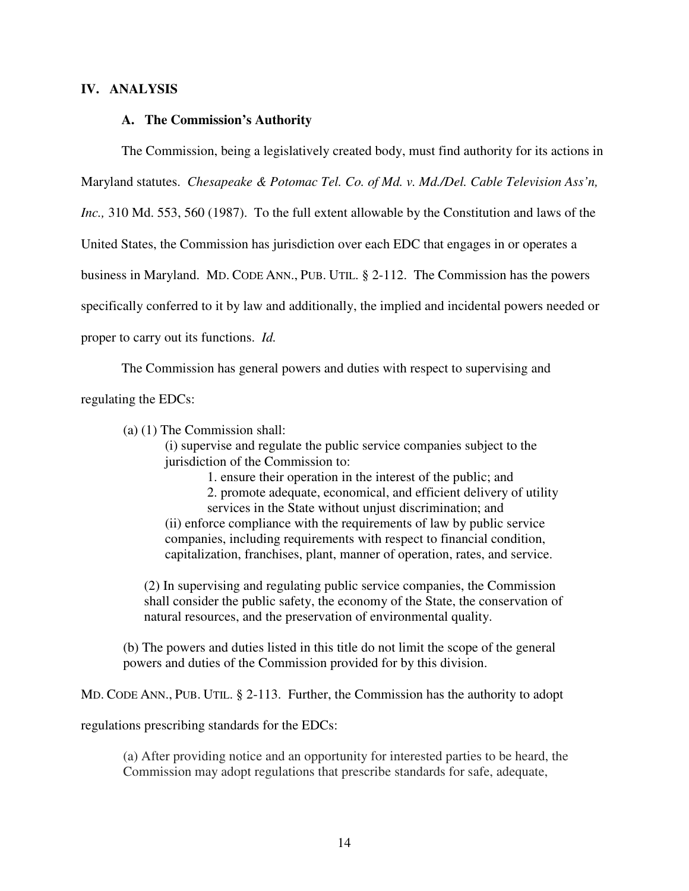## **IV. ANALYSIS**

### **A. The Commission's Authority**

The Commission, being a legislatively created body, must find authority for its actions in Maryland statutes. *Chesapeake & Potomac Tel. Co. of Md. v. Md./Del. Cable Television Ass'n, Inc.,* 310 Md. 553, 560 (1987). To the full extent allowable by the Constitution and laws of the United States, the Commission has jurisdiction over each EDC that engages in or operates a business in Maryland. MD. CODE ANN., PUB. UTIL. § 2-112. The Commission has the powers specifically conferred to it by law and additionally, the implied and incidental powers needed or proper to carry out its functions. *Id.* 

The Commission has general powers and duties with respect to supervising and regulating the EDCs:

(a) (1) The Commission shall:

(i) supervise and regulate the public service companies subject to the jurisdiction of the Commission to:

1. ensure their operation in the interest of the public; and

2. promote adequate, economical, and efficient delivery of utility services in the State without unjust discrimination; and

(ii) enforce compliance with the requirements of law by public service companies, including requirements with respect to financial condition, capitalization, franchises, plant, manner of operation, rates, and service.

(2) In supervising and regulating public service companies, the Commission shall consider the public safety, the economy of the State, the conservation of natural resources, and the preservation of environmental quality.

(b) The powers and duties listed in this title do not limit the scope of the general powers and duties of the Commission provided for by this division.

MD. CODE ANN., PUB. UTIL. § 2-113. Further, the Commission has the authority to adopt

regulations prescribing standards for the EDCs:

(a) After providing notice and an opportunity for interested parties to be heard, the Commission may adopt regulations that prescribe standards for safe, adequate,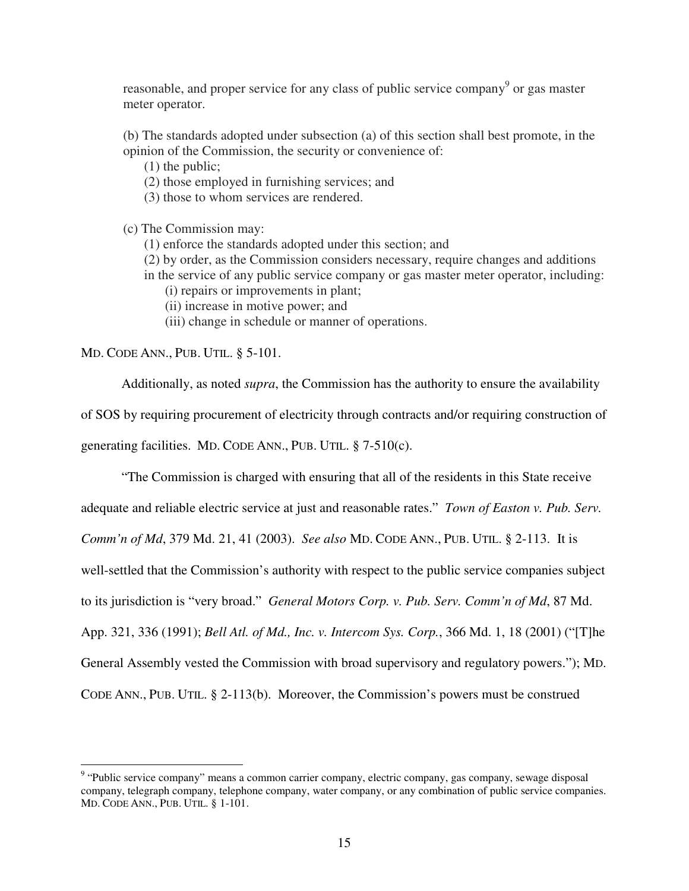reasonable, and proper service for any class of public service company<sup>9</sup> or gas master meter operator.

(b) The standards adopted under subsection (a) of this section shall best promote, in the opinion of the Commission, the security or convenience of:

(1) the public;

(2) those employed in furnishing services; and

(3) those to whom services are rendered.

(c) The Commission may:

(1) enforce the standards adopted under this section; and

(2) by order, as the Commission considers necessary, require changes and additions in the service of any public service company or gas master meter operator, including:

(i) repairs or improvements in plant;

(ii) increase in motive power; and

(iii) change in schedule or manner of operations.

MD. CODE ANN., PUB. UTIL. § 5-101.

 Additionally, as noted *supra*, the Commission has the authority to ensure the availability of SOS by requiring procurement of electricity through contracts and/or requiring construction of generating facilities. MD. CODE ANN., PUB. UTIL. § 7-510(c).

 "The Commission is charged with ensuring that all of the residents in this State receive adequate and reliable electric service at just and reasonable rates." *Town of Easton v. Pub. Serv. Comm'n of Md*, 379 Md. 21, 41 (2003). *See also* MD. CODE ANN., PUB. UTIL. § 2-113. It is well-settled that the Commission's authority with respect to the public service companies subject to its jurisdiction is "very broad." *General Motors Corp. v. Pub. Serv. Comm'n of Md*, 87 Md. App. 321, 336 (1991); *Bell Atl. of Md., Inc. v. Intercom Sys. Corp.*, 366 Md. 1, 18 (2001) ("[T]he General Assembly vested the Commission with broad supervisory and regulatory powers."); MD. CODE ANN., PUB. UTIL. § 2-113(b). Moreover, the Commission's powers must be construed

<sup>&</sup>lt;sup>9</sup> "Public service company" means a common carrier company, electric company, gas company, sewage disposal company, telegraph company, telephone company, water company, or any combination of public service companies. MD. CODE ANN., PUB. UTIL. § 1-101.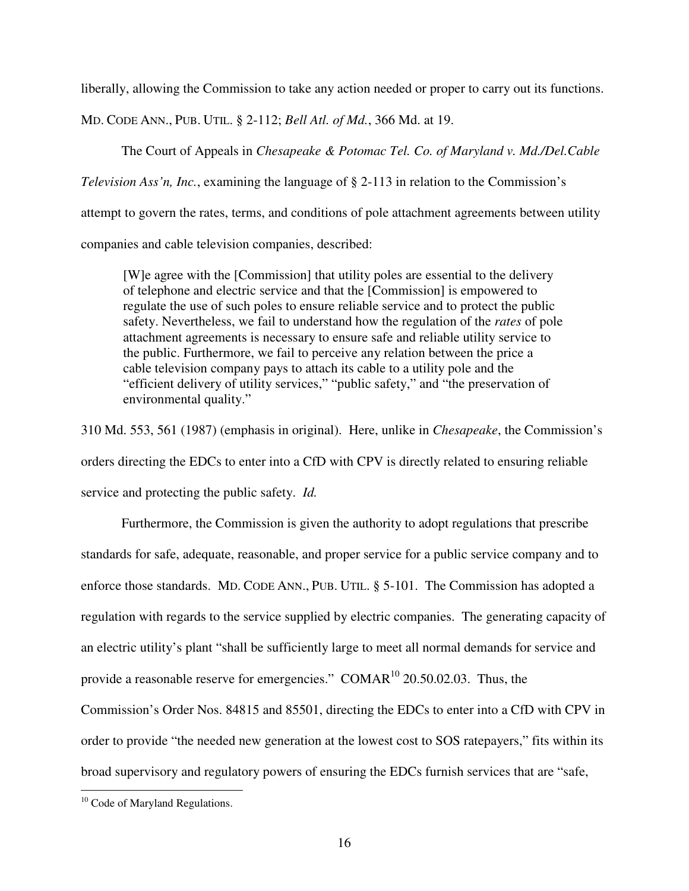liberally, allowing the Commission to take any action needed or proper to carry out its functions.

MD. CODE ANN., PUB. UTIL. § 2-112; *Bell Atl. of Md.*, 366 Md. at 19.

The Court of Appeals in *Chesapeake & Potomac Tel. Co. of Maryland v. Md./Del.Cable* 

*Television Ass'n, Inc.*, examining the language of § 2-113 in relation to the Commission's

attempt to govern the rates, terms, and conditions of pole attachment agreements between utility

companies and cable television companies, described:

[W]e agree with the [Commission] that utility poles are essential to the delivery of telephone and electric service and that the [Commission] is empowered to regulate the use of such poles to ensure reliable service and to protect the public safety. Nevertheless, we fail to understand how the regulation of the *rates* of pole attachment agreements is necessary to ensure safe and reliable utility service to the public. Furthermore, we fail to perceive any relation between the price a cable television company pays to attach its cable to a utility pole and the "efficient delivery of utility services," "public safety," and "the preservation of environmental quality."

310 Md. 553, 561 (1987) (emphasis in original). Here, unlike in *Chesapeake*, the Commission's orders directing the EDCs to enter into a CfD with CPV is directly related to ensuring reliable service and protecting the public safety. *Id.* 

 Furthermore, the Commission is given the authority to adopt regulations that prescribe standards for safe, adequate, reasonable, and proper service for a public service company and to enforce those standards. MD. CODE ANN., PUB. UTIL. § 5-101. The Commission has adopted a regulation with regards to the service supplied by electric companies. The generating capacity of an electric utility's plant "shall be sufficiently large to meet all normal demands for service and provide a reasonable reserve for emergencies." COMAR $^{10}$  20.50.02.03. Thus, the Commission's Order Nos. 84815 and 85501, directing the EDCs to enter into a CfD with CPV in order to provide "the needed new generation at the lowest cost to SOS ratepayers," fits within its broad supervisory and regulatory powers of ensuring the EDCs furnish services that are "safe,

l

<sup>&</sup>lt;sup>10</sup> Code of Maryland Regulations.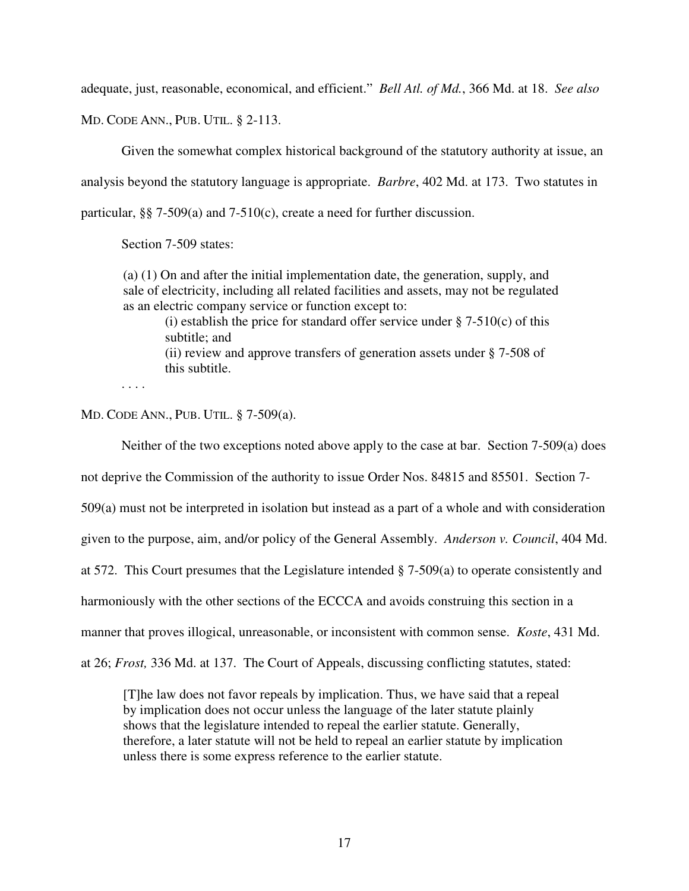adequate, just, reasonable, economical, and efficient." *Bell Atl. of Md.*, 366 Md. at 18. *See also* 

MD. CODE ANN., PUB. UTIL. § 2-113.

 Given the somewhat complex historical background of the statutory authority at issue, an analysis beyond the statutory language is appropriate. *Barbre*, 402 Md. at 173. Two statutes in particular, §§ 7-509(a) and 7-510(c), create a need for further discussion.

Section 7-509 states:

(a) (1) On and after the initial implementation date, the generation, supply, and sale of electricity, including all related facilities and assets, may not be regulated as an electric company service or function except to:

(i) establish the price for standard offer service under  $\S$  7-510(c) of this subtitle; and (ii) review and approve transfers of generation assets under § 7-508 of this subtitle.

. . . .

MD. CODE ANN., PUB. UTIL. § 7-509(a).

Neither of the two exceptions noted above apply to the case at bar. Section 7-509(a) does

not deprive the Commission of the authority to issue Order Nos. 84815 and 85501. Section 7-

509(a) must not be interpreted in isolation but instead as a part of a whole and with consideration

given to the purpose, aim, and/or policy of the General Assembly. *Anderson v. Council*, 404 Md.

at 572. This Court presumes that the Legislature intended § 7-509(a) to operate consistently and

harmoniously with the other sections of the ECCCA and avoids construing this section in a

manner that proves illogical, unreasonable, or inconsistent with common sense. *Koste*, 431 Md.

at 26; *Frost,* 336 Md. at 137. The Court of Appeals, discussing conflicting statutes, stated:

[T]he law does not favor repeals by implication. Thus, we have said that a repeal by implication does not occur unless the language of the later statute plainly shows that the legislature intended to repeal the earlier statute. Generally, therefore, a later statute will not be held to repeal an earlier statute by implication unless there is some express reference to the earlier statute.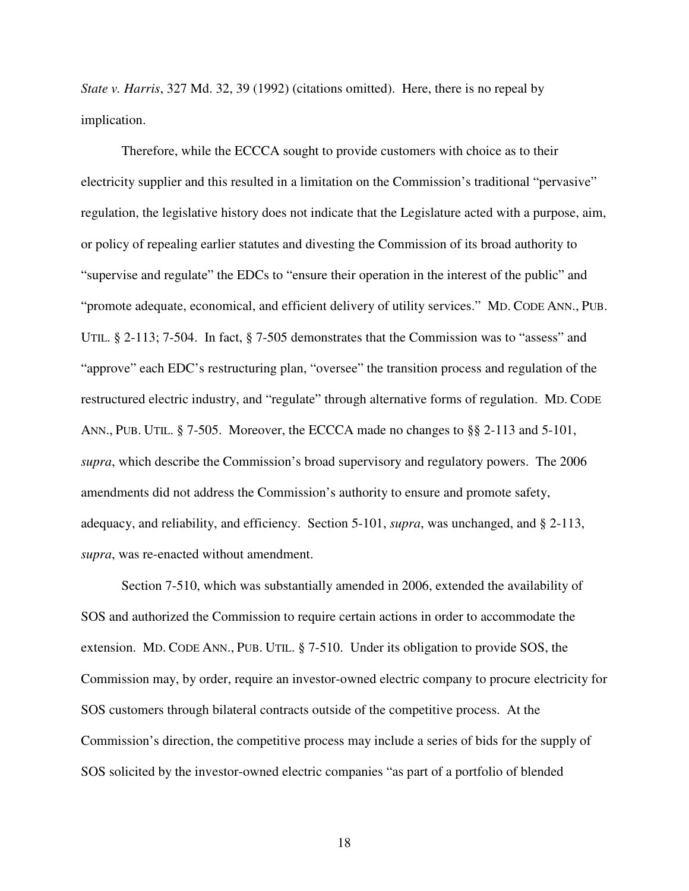*State v. Harris*, 327 Md. 32, 39 (1992) (citations omitted). Here, there is no repeal by implication.

Therefore, while the ECCCA sought to provide customers with choice as to their electricity supplier and this resulted in a limitation on the Commission's traditional "pervasive" regulation, the legislative history does not indicate that the Legislature acted with a purpose, aim, or policy of repealing earlier statutes and divesting the Commission of its broad authority to "supervise and regulate" the EDCs to "ensure their operation in the interest of the public" and "promote adequate, economical, and efficient delivery of utility services." MD. CODE ANN., PUB. UTIL. § 2-113; 7-504. In fact, § 7-505 demonstrates that the Commission was to "assess" and "approve" each EDC's restructuring plan, "oversee" the transition process and regulation of the restructured electric industry, and "regulate" through alternative forms of regulation. MD. CODE ANN., PUB. UTIL. § 7-505. Moreover, the ECCCA made no changes to §§ 2-113 and 5-101, *supra*, which describe the Commission's broad supervisory and regulatory powers. The 2006 amendments did not address the Commission's authority to ensure and promote safety, adequacy, and reliability, and efficiency. Section 5-101, *supra*, was unchanged, and § 2-113, *supra*, was re-enacted without amendment.

Section 7-510, which was substantially amended in 2006, extended the availability of SOS and authorized the Commission to require certain actions in order to accommodate the extension. MD. CODE ANN., PUB. UTIL. § 7-510. Under its obligation to provide SOS, the Commission may, by order, require an investor-owned electric company to procure electricity for SOS customers through bilateral contracts outside of the competitive process. At the Commission's direction, the competitive process may include a series of bids for the supply of SOS solicited by the investor-owned electric companies "as part of a portfolio of blended

18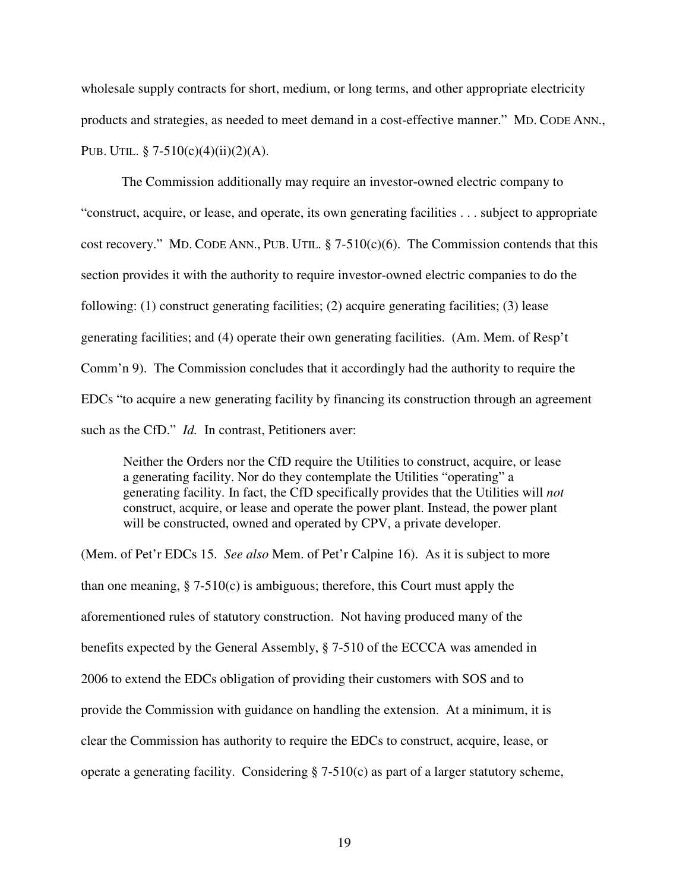wholesale supply contracts for short, medium, or long terms, and other appropriate electricity products and strategies, as needed to meet demand in a cost-effective manner." MD. CODE ANN., PUB. UTIL.  $\S$  7-510(c)(4)(ii)(2)(A).

The Commission additionally may require an investor-owned electric company to "construct, acquire, or lease, and operate, its own generating facilities . . . subject to appropriate cost recovery." MD. CODE ANN., PUB. UTIL.  $\S$  7-510(c)(6). The Commission contends that this section provides it with the authority to require investor-owned electric companies to do the following: (1) construct generating facilities; (2) acquire generating facilities; (3) lease generating facilities; and (4) operate their own generating facilities. (Am. Mem. of Resp't Comm'n 9). The Commission concludes that it accordingly had the authority to require the EDCs "to acquire a new generating facility by financing its construction through an agreement such as the CfD." *Id.* In contrast, Petitioners aver:

Neither the Orders nor the CfD require the Utilities to construct, acquire, or lease a generating facility. Nor do they contemplate the Utilities "operating" a generating facility. In fact, the CfD specifically provides that the Utilities will *not*  construct, acquire, or lease and operate the power plant. Instead, the power plant will be constructed, owned and operated by CPV, a private developer.

(Mem. of Pet'r EDCs 15. *See also* Mem. of Pet'r Calpine 16). As it is subject to more than one meaning,  $\S 7-510(c)$  is ambiguous; therefore, this Court must apply the aforementioned rules of statutory construction. Not having produced many of the benefits expected by the General Assembly, § 7-510 of the ECCCA was amended in 2006 to extend the EDCs obligation of providing their customers with SOS and to provide the Commission with guidance on handling the extension. At a minimum, it is clear the Commission has authority to require the EDCs to construct, acquire, lease, or operate a generating facility. Considering  $\S$  7-510(c) as part of a larger statutory scheme,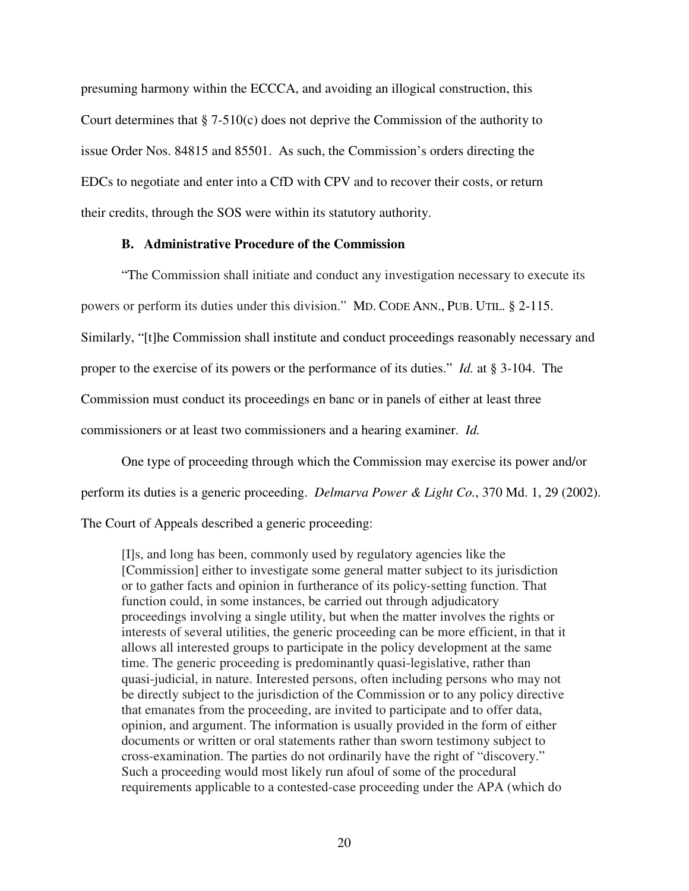presuming harmony within the ECCCA, and avoiding an illogical construction, this Court determines that § 7-510(c) does not deprive the Commission of the authority to issue Order Nos. 84815 and 85501. As such, the Commission's orders directing the EDCs to negotiate and enter into a CfD with CPV and to recover their costs, or return their credits, through the SOS were within its statutory authority.

# **B. Administrative Procedure of the Commission**

"The Commission shall initiate and conduct any investigation necessary to execute its powers or perform its duties under this division." MD. CODE ANN., PUB. UTIL. § 2-115. Similarly, "[t]he Commission shall institute and conduct proceedings reasonably necessary and proper to the exercise of its powers or the performance of its duties." *Id.* at § 3-104. The Commission must conduct its proceedings en banc or in panels of either at least three commissioners or at least two commissioners and a hearing examiner. *Id.* 

One type of proceeding through which the Commission may exercise its power and/or perform its duties is a generic proceeding. *Delmarva Power & Light Co.*, 370 Md. 1, 29 (2002). The Court of Appeals described a generic proceeding:

[I]s, and long has been, commonly used by regulatory agencies like the [Commission] either to investigate some general matter subject to its jurisdiction or to gather facts and opinion in furtherance of its policy-setting function. That function could, in some instances, be carried out through adjudicatory proceedings involving a single utility, but when the matter involves the rights or interests of several utilities, the generic proceeding can be more efficient, in that it allows all interested groups to participate in the policy development at the same time. The generic proceeding is predominantly quasi-legislative, rather than quasi-judicial, in nature. Interested persons, often including persons who may not be directly subject to the jurisdiction of the Commission or to any policy directive that emanates from the proceeding, are invited to participate and to offer data, opinion, and argument. The information is usually provided in the form of either documents or written or oral statements rather than sworn testimony subject to cross-examination. The parties do not ordinarily have the right of "discovery." Such a proceeding would most likely run afoul of some of the procedural requirements applicable to a contested-case proceeding under the APA (which do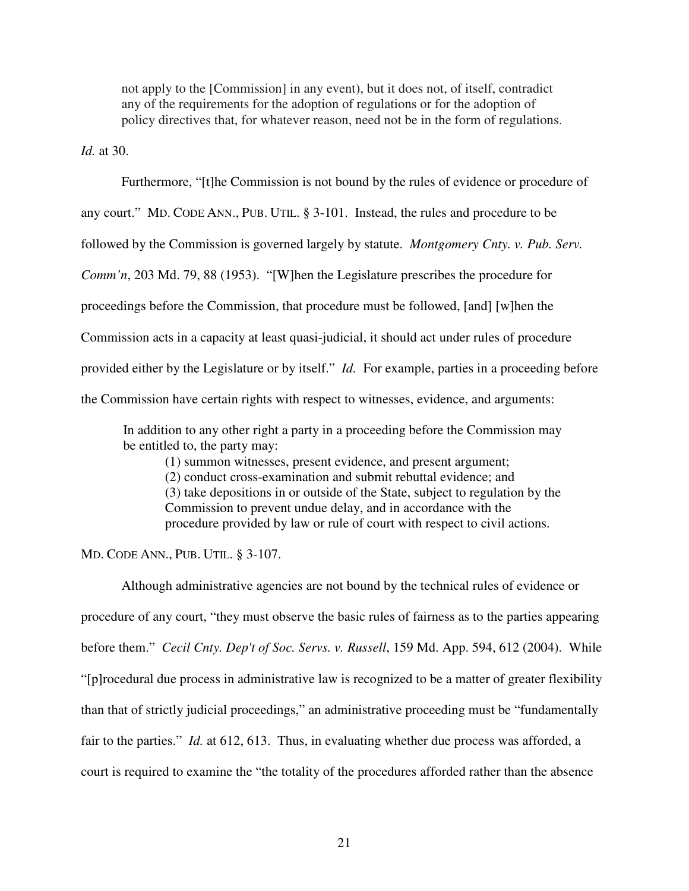not apply to the [Commission] in any event), but it does not, of itself, contradict any of the requirements for the adoption of regulations or for the adoption of policy directives that, for whatever reason, need not be in the form of regulations.

*Id.* at 30.

Furthermore, "[t]he Commission is not bound by the rules of evidence or procedure of

any court." MD. CODE ANN., PUB. UTIL. § 3-101. Instead, the rules and procedure to be

followed by the Commission is governed largely by statute. *Montgomery Cnty. v. Pub. Serv.* 

*Comm'n*, 203 Md. 79, 88 (1953). "[W]hen the Legislature prescribes the procedure for

proceedings before the Commission, that procedure must be followed, [and] [w]hen the

Commission acts in a capacity at least quasi-judicial, it should act under rules of procedure

provided either by the Legislature or by itself." *Id.* For example, parties in a proceeding before

the Commission have certain rights with respect to witnesses, evidence, and arguments:

In addition to any other right a party in a proceeding before the Commission may be entitled to, the party may:

(1) summon witnesses, present evidence, and present argument; (2) conduct cross-examination and submit rebuttal evidence; and (3) take depositions in or outside of the State, subject to regulation by the Commission to prevent undue delay, and in accordance with the procedure provided by law or rule of court with respect to civil actions.

MD. CODE ANN., PUB. UTIL. § 3-107.

Although administrative agencies are not bound by the technical rules of evidence or procedure of any court, "they must observe the basic rules of fairness as to the parties appearing before them." *Cecil Cnty. Dep't of Soc. Servs. v. Russell*, 159 Md. App. 594, 612 (2004). While "[p]rocedural due process in administrative law is recognized to be a matter of greater flexibility than that of strictly judicial proceedings," an administrative proceeding must be "fundamentally fair to the parties." *Id.* at 612, 613. Thus, in evaluating whether due process was afforded, a court is required to examine the "the totality of the procedures afforded rather than the absence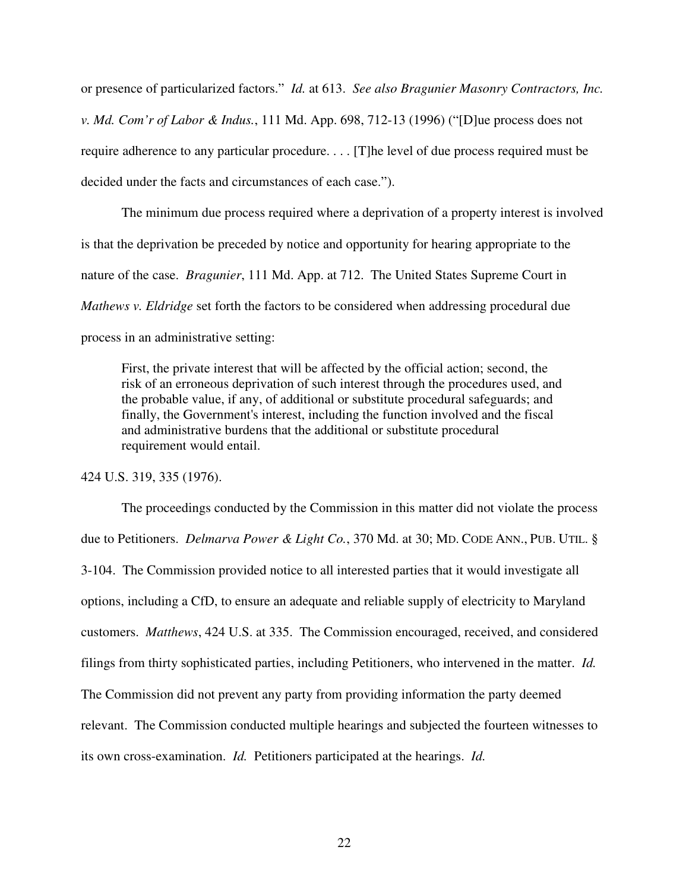or presence of particularized factors." *Id.* at 613. *See also Bragunier Masonry Contractors, Inc. v. Md. Com'r of Labor & Indus.*, 111 Md. App. 698, 712-13 (1996) ("[D]ue process does not require adherence to any particular procedure. . . . [T]he level of due process required must be decided under the facts and circumstances of each case.").

The minimum due process required where a deprivation of a property interest is involved is that the deprivation be preceded by notice and opportunity for hearing appropriate to the nature of the case. *Bragunier*, 111 Md. App. at 712. The United States Supreme Court in *Mathews v. Eldridge* set forth the factors to be considered when addressing procedural due process in an administrative setting:

First, the private interest that will be affected by the official action; second, the risk of an erroneous deprivation of such interest through the procedures used, and the probable value, if any, of additional or substitute procedural safeguards; and finally, the Government's interest, including the function involved and the fiscal and administrative burdens that the additional or substitute procedural requirement would entail.

424 U.S. 319, 335 (1976).

 The proceedings conducted by the Commission in this matter did not violate the process due to Petitioners. *Delmarva Power & Light Co.*, 370 Md. at 30; MD. CODE ANN., PUB. UTIL. § 3-104. The Commission provided notice to all interested parties that it would investigate all options, including a CfD, to ensure an adequate and reliable supply of electricity to Maryland customers. *Matthews*, 424 U.S. at 335. The Commission encouraged, received, and considered filings from thirty sophisticated parties, including Petitioners, who intervened in the matter. *Id.* The Commission did not prevent any party from providing information the party deemed relevant. The Commission conducted multiple hearings and subjected the fourteen witnesses to its own cross-examination. *Id.* Petitioners participated at the hearings. *Id.*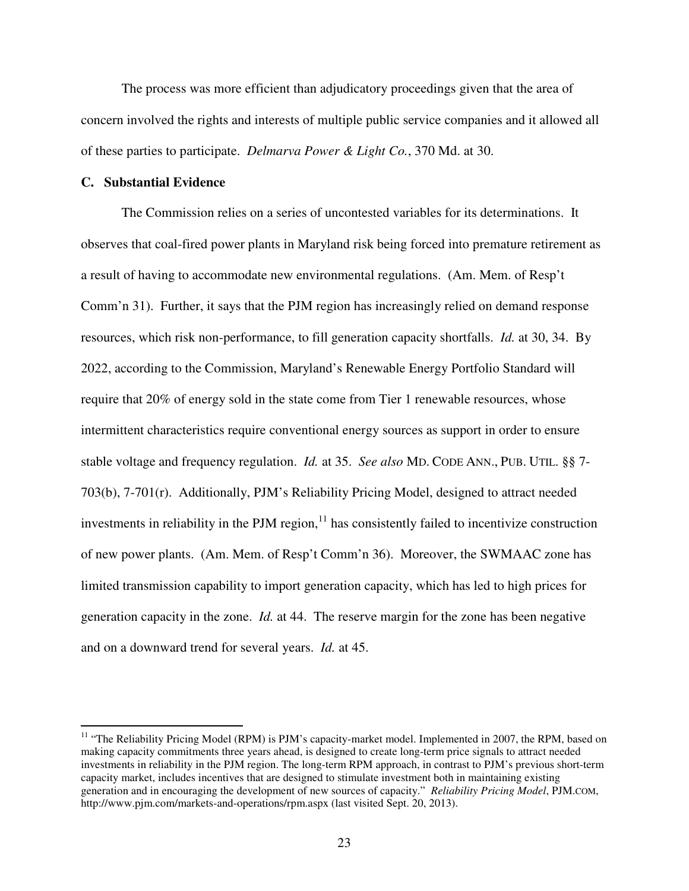The process was more efficient than adjudicatory proceedings given that the area of concern involved the rights and interests of multiple public service companies and it allowed all of these parties to participate. *Delmarva Power & Light Co.*, 370 Md. at 30.

#### **C. Substantial Evidence**

 $\overline{a}$ 

The Commission relies on a series of uncontested variables for its determinations. It observes that coal-fired power plants in Maryland risk being forced into premature retirement as a result of having to accommodate new environmental regulations. (Am. Mem. of Resp't Comm'n 31). Further, it says that the PJM region has increasingly relied on demand response resources, which risk non-performance, to fill generation capacity shortfalls. *Id.* at 30, 34. By 2022, according to the Commission, Maryland's Renewable Energy Portfolio Standard will require that 20% of energy sold in the state come from Tier 1 renewable resources, whose intermittent characteristics require conventional energy sources as support in order to ensure stable voltage and frequency regulation. *Id.* at 35. *See also* MD. CODE ANN., PUB. UTIL. §§ 7- 703(b), 7-701(r). Additionally, PJM's Reliability Pricing Model, designed to attract needed investments in reliability in the PJM region, $^{11}$  has consistently failed to incentivize construction of new power plants. (Am. Mem. of Resp't Comm'n 36). Moreover, the SWMAAC zone has limited transmission capability to import generation capacity, which has led to high prices for generation capacity in the zone. *Id.* at 44. The reserve margin for the zone has been negative and on a downward trend for several years. *Id.* at 45.

<sup>&</sup>lt;sup>11</sup> "The Reliability Pricing Model (RPM) is PJM's capacity-market model. Implemented in 2007, the RPM, based on making capacity commitments three years ahead, is designed to create long-term price signals to attract needed investments in reliability in the PJM region. The long-term RPM approach, in contrast to PJM's previous short-term capacity market, includes incentives that are designed to stimulate investment both in maintaining existing generation and in encouraging the development of new sources of capacity." *Reliability Pricing Model*, PJM.COM, http://www.pjm.com/markets-and-operations/rpm.aspx (last visited Sept. 20, 2013).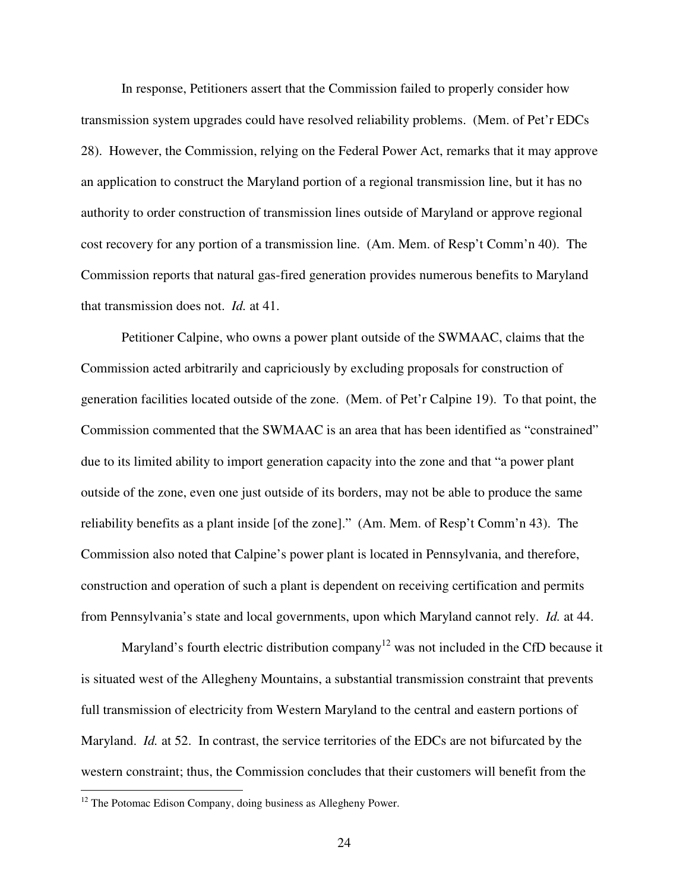In response, Petitioners assert that the Commission failed to properly consider how transmission system upgrades could have resolved reliability problems. (Mem. of Pet'r EDCs 28). However, the Commission, relying on the Federal Power Act, remarks that it may approve an application to construct the Maryland portion of a regional transmission line, but it has no authority to order construction of transmission lines outside of Maryland or approve regional cost recovery for any portion of a transmission line. (Am. Mem. of Resp't Comm'n 40). The Commission reports that natural gas-fired generation provides numerous benefits to Maryland that transmission does not. *Id.* at 41.

Petitioner Calpine, who owns a power plant outside of the SWMAAC, claims that the Commission acted arbitrarily and capriciously by excluding proposals for construction of generation facilities located outside of the zone. (Mem. of Pet'r Calpine 19). To that point, the Commission commented that the SWMAAC is an area that has been identified as "constrained" due to its limited ability to import generation capacity into the zone and that "a power plant outside of the zone, even one just outside of its borders, may not be able to produce the same reliability benefits as a plant inside [of the zone]." (Am. Mem. of Resp't Comm'n 43). The Commission also noted that Calpine's power plant is located in Pennsylvania, and therefore, construction and operation of such a plant is dependent on receiving certification and permits from Pennsylvania's state and local governments, upon which Maryland cannot rely. *Id.* at 44.

Maryland's fourth electric distribution company<sup>12</sup> was not included in the CfD because it is situated west of the Allegheny Mountains, a substantial transmission constraint that prevents full transmission of electricity from Western Maryland to the central and eastern portions of Maryland. *Id.* at 52. In contrast, the service territories of the EDCs are not bifurcated by the western constraint; thus, the Commission concludes that their customers will benefit from the

l

<sup>&</sup>lt;sup>12</sup> The Potomac Edison Company, doing business as Allegheny Power.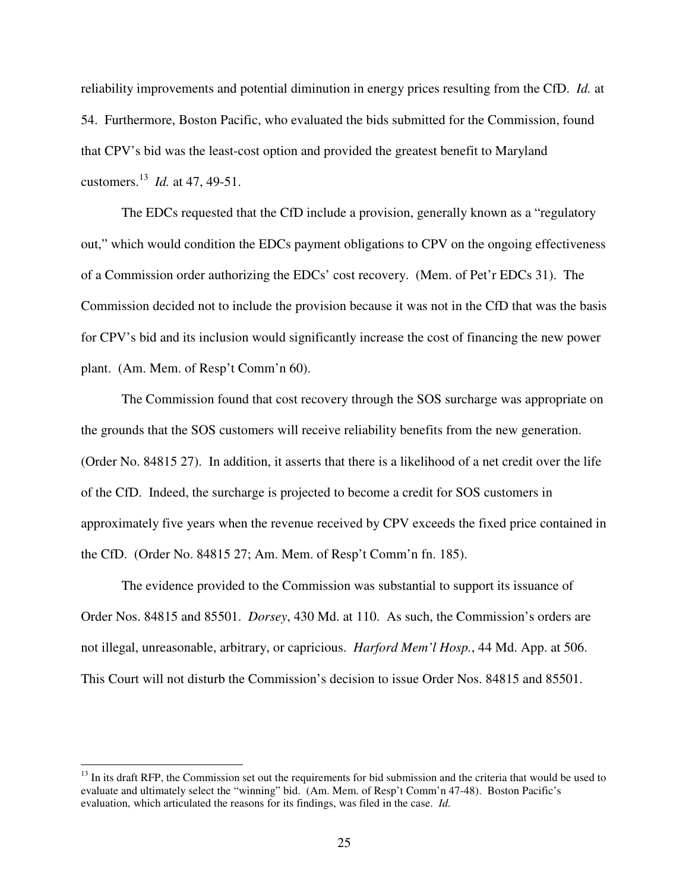reliability improvements and potential diminution in energy prices resulting from the CfD. *Id.* at 54. Furthermore, Boston Pacific, who evaluated the bids submitted for the Commission, found that CPV's bid was the least-cost option and provided the greatest benefit to Maryland customers.<sup>13</sup> *Id.* at 47, 49-51.

The EDCs requested that the CfD include a provision, generally known as a "regulatory out," which would condition the EDCs payment obligations to CPV on the ongoing effectiveness of a Commission order authorizing the EDCs' cost recovery. (Mem. of Pet'r EDCs 31). The Commission decided not to include the provision because it was not in the CfD that was the basis for CPV's bid and its inclusion would significantly increase the cost of financing the new power plant. (Am. Mem. of Resp't Comm'n 60).

The Commission found that cost recovery through the SOS surcharge was appropriate on the grounds that the SOS customers will receive reliability benefits from the new generation. (Order No. 84815 27). In addition, it asserts that there is a likelihood of a net credit over the life of the CfD. Indeed, the surcharge is projected to become a credit for SOS customers in approximately five years when the revenue received by CPV exceeds the fixed price contained in the CfD. (Order No. 84815 27; Am. Mem. of Resp't Comm'n fn. 185).

The evidence provided to the Commission was substantial to support its issuance of Order Nos. 84815 and 85501. *Dorsey*, 430 Md. at 110. As such, the Commission's orders are not illegal, unreasonable, arbitrary, or capricious. *Harford Mem'l Hosp.*, 44 Md. App. at 506. This Court will not disturb the Commission's decision to issue Order Nos. 84815 and 85501.

 $\overline{a}$ 

 $<sup>13</sup>$  In its draft RFP, the Commission set out the requirements for bid submission and the criteria that would be used to</sup> evaluate and ultimately select the "winning" bid. (Am. Mem. of Resp't Comm'n 47-48). Boston Pacific's evaluation, which articulated the reasons for its findings, was filed in the case. *Id.*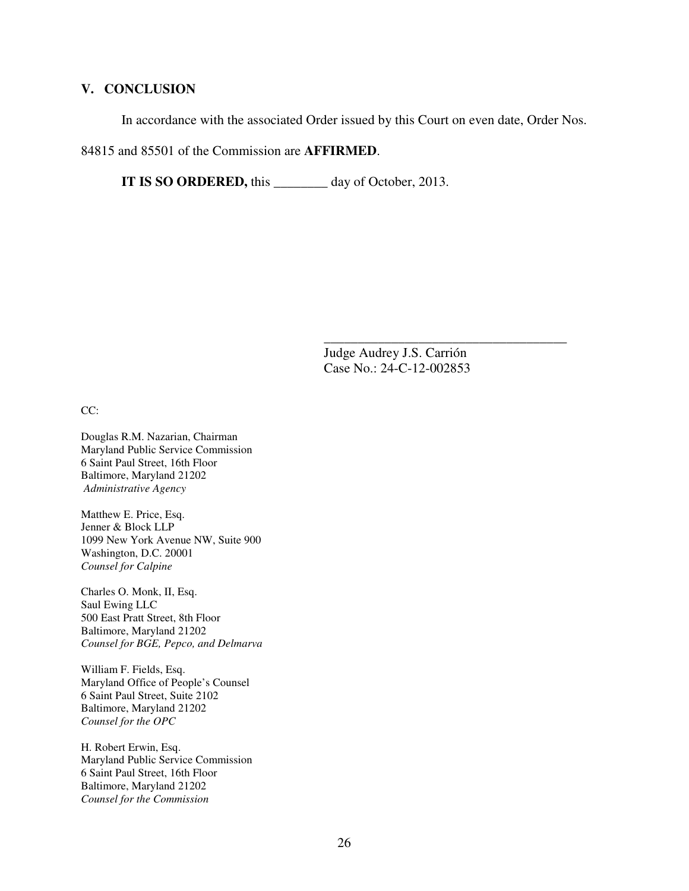# **V. CONCLUSION**

In accordance with the associated Order issued by this Court on even date, Order Nos.

84815 and 85501 of the Commission are **AFFIRMED**.

**IT IS SO ORDERED,** this \_\_\_\_\_\_\_\_ day of October, 2013.

 Judge Audrey J.S. Carrión Case No.: 24-C-12-002853

\_\_\_\_\_\_\_\_\_\_\_\_\_\_\_\_\_\_\_\_\_\_\_\_\_\_\_\_\_\_\_\_\_\_\_\_

CC:

Douglas R.M. Nazarian, Chairman Maryland Public Service Commission 6 Saint Paul Street, 16th Floor Baltimore, Maryland 21202  *Administrative Agency*

Matthew E. Price, Esq. Jenner & Block LLP 1099 New York Avenue NW, Suite 900 Washington, D.C. 20001 *Counsel for Calpine* 

Charles O. Monk, II, Esq. Saul Ewing LLC 500 East Pratt Street, 8th Floor Baltimore, Maryland 21202 *Counsel for BGE, Pepco, and Delmarva* 

William F. Fields, Esq. Maryland Office of People's Counsel 6 Saint Paul Street, Suite 2102 Baltimore, Maryland 21202 *Counsel for the OPC* 

H. Robert Erwin, Esq. Maryland Public Service Commission 6 Saint Paul Street, 16th Floor Baltimore, Maryland 21202 *Counsel for the Commission*